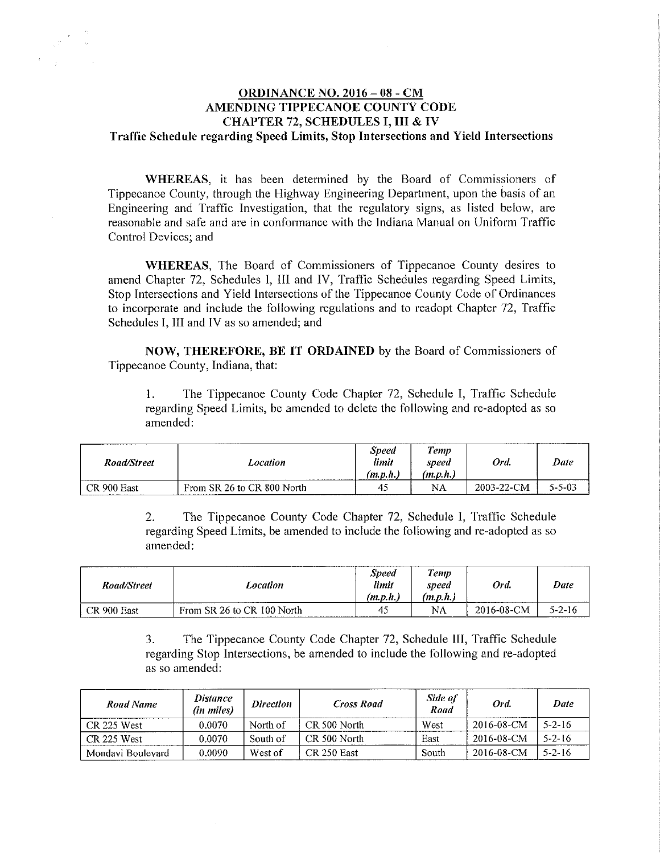## **ORDINANCE NO. 2016 - 08 - CM AMENDING TIPPECANOE COUNTY CODE CHAPTER 72, SCHEDULES I, III & IV Traffic Schedule regarding Speed Limits, Stop Intersections and Yield Intersections**

**WHEREAS,** it has been determined by the Board of Commissioners of Tippecanoe County, through the Highway Engineering Department, upon the basis of an Engineering and Traffic Investigation, that the regulatory signs, as listed below, are reasonable and safe and are in conformance with the Indiana Manual on Uniform Traffic Control Devices; and

**WHEREAS,** The Board of Commissioners of Tippecanoe County desires to amend Chapter 72, Schedules I, lII and IV, Traffic Schedules regarding Speed Limits, Stop Intersections and Yield Intersections of the Tippecanoe County Code of Ordinances to incorporate and include the following regulations and to readopt Chapter 72, Traffic Schedules I, III and IV as so amended; and

**NOW, THEREFORE, BE IT ORDAINED** by the Board of Commissioners of Tippecanoe County, Indiana, that:

I. The Tippecanoe County Code Chapter 72, Schedule I, Traffic Schedule regarding Speed Limits, be amended to delete the following and re-adopted as so amended:

| Road/Street | Location                   | <b>Speed</b><br>limit<br>m.p.n. | ,,,,,<br>femp<br>speed<br>(m.p.n., | Ord.       | Date   |
|-------------|----------------------------|---------------------------------|------------------------------------|------------|--------|
| CR 900 East | From SR 26 to CR 800 North | 45                              | NA                                 | 2003-22-CM | 5-5-03 |

2. The Tippecanoe County Code Chapter 72, Schedule I, Traffic Schedule regarding Speed Limits, be amended to include the following and re-adopted as so amended:

| Road/Street | Location<br>-------------------- | <b>Speed</b><br>limit<br>(m.p.h.) | <b>Temp</b><br>speed<br>(m, p, h, r) | Ord.       | Date         |
|-------------|----------------------------------|-----------------------------------|--------------------------------------|------------|--------------|
| CR 900 East | From SR 26 to CR 100 North       | 45                                | NA                                   | 2016-08-CM | $5 - 2 - 16$ |

3. The Tippecanoe County Code Chapter 72, Schedule III, Traffic Schedule regarding Stop Intersections, be amended to include the following and re-adopted as so amended:

| Road Name         | <i>Distance</i><br>(in miles) | <i>Direction</i> | <b>Cross Road</b> | Side of<br>Road | Ord.       | Date         |
|-------------------|-------------------------------|------------------|-------------------|-----------------|------------|--------------|
| CR 225 West       | 0.0070                        | North of         | CR 500 North      | West            | 2016-08-CM | $5 - 2 - 16$ |
| CR 225 West       | 0.0070                        | South of         | CR 500 North      | East            | 2016-08-CM | $5 - 2 - 16$ |
| Mondavi Boulevard | 0.0090                        | West of          | CR 250 East       | South           | 2016-08-CM | $5 - 2 - 16$ |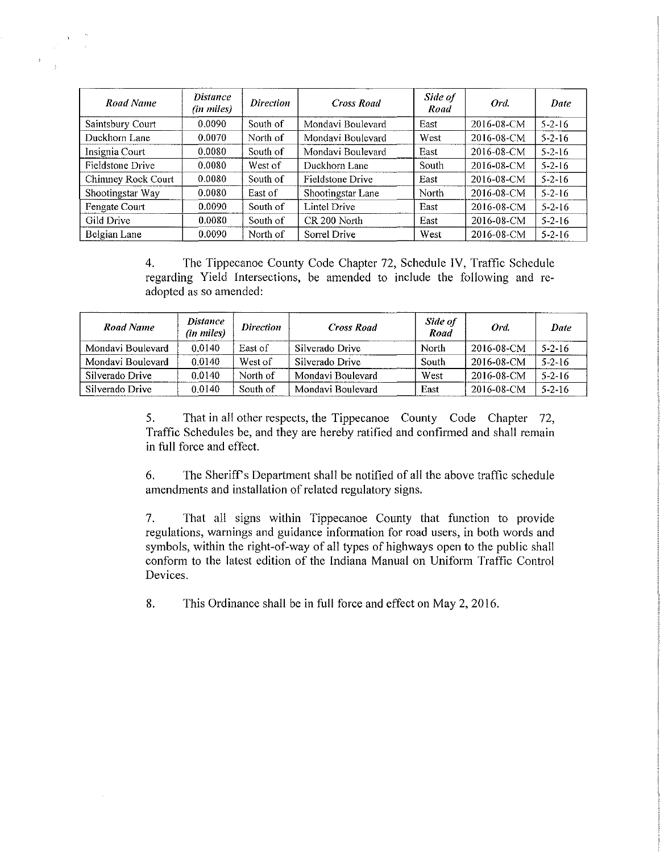| Road Name          | <i>Distance</i><br>(in miles) | <b>Direction</b> | <b>Cross Road</b> | Side of<br>Road | Ord.       | Date         |
|--------------------|-------------------------------|------------------|-------------------|-----------------|------------|--------------|
| Saintsbury Court   | 0.0090                        | South of         | Mondavi Boulevard | East            | 2016-08-CM | $5 - 2 - 16$ |
| Duckhorn Lane      | 0.0070                        | North of         | Mondavi Boulevard | West            | 2016-08-CM | $5 - 2 - 16$ |
| Insignia Court     | 0.0080                        | South of         | Mondavi Boulevard | East            | 2016-08-CM | $5 - 2 - 16$ |
| Fieldstone Drive   | 0.0080                        | West of          | Duckhorn Lane     | South           | 2016-08-CM | $5 - 2 - 16$ |
| Chimney Rock Court | 0.0080                        | South of         | Fieldstone Drive  | East            | 2016-08-CM | $5 - 2 - 16$ |
| Shootingstar Way   | 0.0080                        | East of          | Shootingstar Lane | North           | 2016-08-CM | $5 - 2 - 16$ |
| Fengate Court      | 0.0090                        | South of         | Lintel Drive      | East            | 2016-08-CM | $5 - 2 - 16$ |
| Gild Drive         | 0.0080                        | South of         | CR 200 North      | East            | 2016-08-CM | $5 - 2 - 16$ |
| Belgian Lane       | 0.0090                        | North of         | Sorrel Drive      | West            | 2016-08-CM | $5 - 2 - 16$ |

4. The Tippecanoe County Code Chapter 72, Schedule IV, Traffic Schedule regarding Yield Intersections, be amended to include the following and readopted as so amended:

| Road Name         | <i>Distance</i><br>(in miles) | <b>Direction</b> | <b>Cross Road</b> | Side of<br>Road | Ord.       | Date         |
|-------------------|-------------------------------|------------------|-------------------|-----------------|------------|--------------|
| Mondavi Boulevard | 0.0140                        | East of          | Silverado Drive   | North           | 2016-08-CM | $5 - 2 - 16$ |
| Mondavi Boulevard | 0.0140                        | West of          | Silverado Drive   | South           | 2016-08-CM | $5 - 2 - 16$ |
| Silverado Drive   | 0.0140                        | North of         | Mondavi Boulevard | West            | 2016-08-CM | $5 - 2 - 16$ |
| Silverado Drive   | 0.0140                        | South of         | Mondavi Boulevard | East            | 2016-08-CM | $5 - 2 - 16$ |

5. That in all other respects, the Tippecanoe County Code Chapter 72, Traffic Schedules be, and they are hereby ratified and confirmed and shall remain in full force and effect.

6. The Sheriff's Department shall be notified of all the above traffic schedule amendments and installation of related regulatory signs.

7. That all signs within Tippecanoe County that function to provide regulations, warnings and guidance information for road users, in both words and symbols, within the right-of-way of all types of highways open to the public shall conform to the latest edition of the Indiana Manual on Uniform Traffic Control Devices.

8. This Ordinance shall be in full force and effect on May 2, 2016.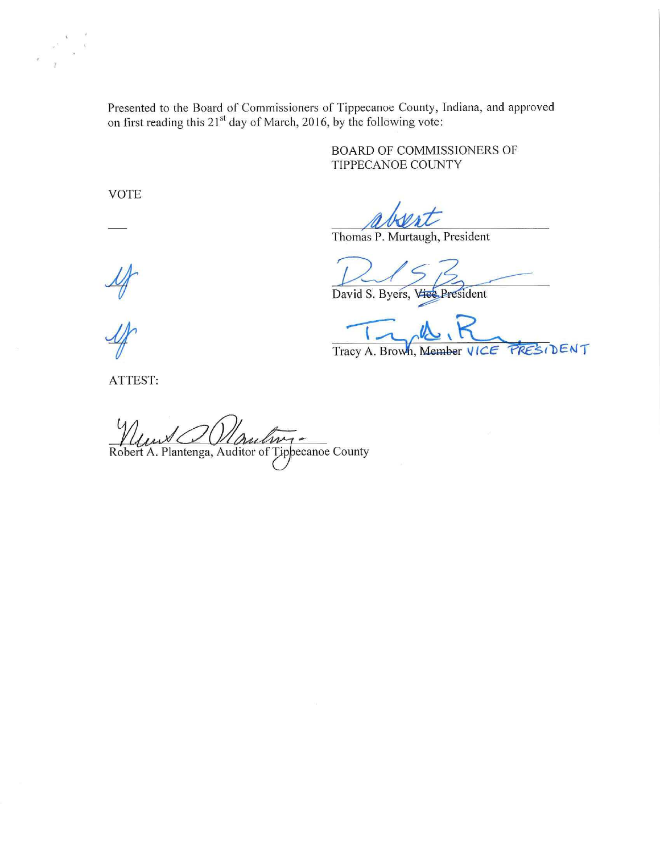Presented to the Board of Commissioners of Tippecanoe County, Indiana, and approved on first reading this  $21^{st}$  day of March, 2016, by the following vote:

> BOARD OF COMMISSIONERS OF TIPPECANOE COUNTY

VOTE

Thomas P. Murtaugh, President

David S. Byers, Vice President

PRESIDENT Tracy A. Brown, Member VICE

 $\frac{M}{A}$ 

ATTEST:

Robert A. Plantenga, Auditor of Tippecanoe County